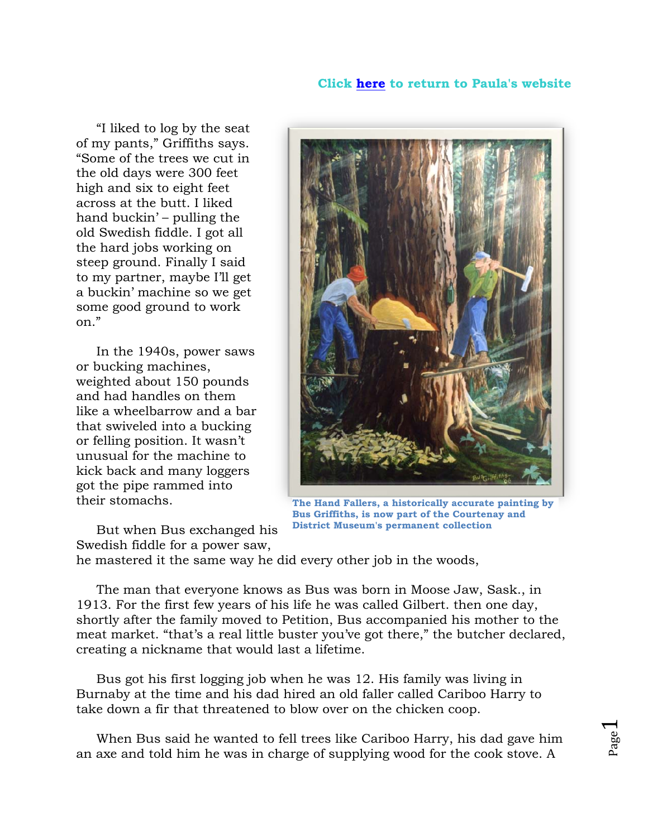## **Click [here](http://www.paulawild.ca/) to return to Paula's website**

 "I liked to log by the seat of my pants," Griffiths says. "Some of the trees we cut in the old days were 300 feet high and six to eight feet across at the butt. I liked hand buckin' – pulling the old Swedish fiddle. I got all the hard jobs working on steep ground. Finally I said to my partner, maybe I'll get a buckin' machine so we get some good ground to work on."

 In the 1940s, power saws or bucking machines, weighted about 150 pounds and had handles on them like a wheelbarrow and a bar that swiveled into a bucking or felling position. It wasn't unusual for the machine to kick back and many loggers got the pipe rammed into their stomachs.

**The Hand Fallers, a historically accurate painting by Bus Griffiths, is now part of the Courtenay and District Museum's permanent collection**

 But when Bus exchanged his Swedish fiddle for a power saw,

he mastered it the same way he did every other job in the woods,

 The man that everyone knows as Bus was born in Moose Jaw, Sask., in 1913. For the first few years of his life he was called Gilbert. then one day, shortly after the family moved to Petition, Bus accompanied his mother to the meat market. "that's a real little buster you've got there," the butcher declared, creating a nickname that would last a lifetime.

 Bus got his first logging job when he was 12. His family was living in Burnaby at the time and his dad hired an old faller called Cariboo Harry to take down a fir that threatened to blow over on the chicken coop.

 When Bus said he wanted to fell trees like Cariboo Harry, his dad gave him an axe and told him he was in charge of supplying wood for the cook stove. A